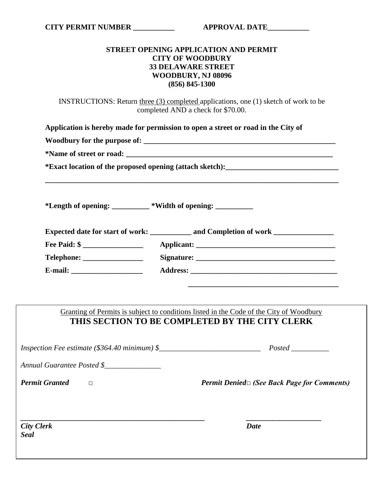## **STREET OPENING APPLICATION AND PERMIT CITY OF WOODBURY 33 DELAWARE STREET WOODBURY, NJ 08096 (856) 845-1300**

INSTRUCTIONS: Return three (3) completed applications, one (1) sketch of work to be completed AND a check for \$70.00.

|                                                              | Application is hereby made for permission to open a street or road in the City of                                                         |
|--------------------------------------------------------------|-------------------------------------------------------------------------------------------------------------------------------------------|
|                                                              |                                                                                                                                           |
|                                                              |                                                                                                                                           |
|                                                              | *Exact location of the proposed opening (attach sketch): ________________________                                                         |
| *Length of opening: __________ *Width of opening: __________ |                                                                                                                                           |
|                                                              | Expected date for start of work: _____________ and Completion of work ___________                                                         |
| Fee Paid: $\frac{1}{2}$                                      |                                                                                                                                           |
|                                                              |                                                                                                                                           |
|                                                              |                                                                                                                                           |
|                                                              | Granting of Permits is subject to conditions listed in the Code of the City of Woodbury<br>THIS SECTION TO BE COMPLETED BY THE CITY CLERK |
|                                                              |                                                                                                                                           |
| Annual Guarantee Posted \$                                   |                                                                                                                                           |
| <b>Permit Granted</b><br>$\Box$                              | <i>Permit Denied</i> □ (See Back Page for Comments)                                                                                       |
| <b>City Clerk</b><br><b>Seal</b>                             | <b>Date</b>                                                                                                                               |